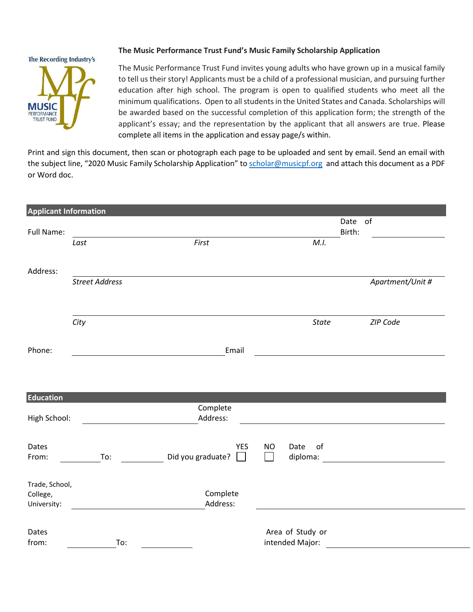#### The Recording Industry's



# **The Music Performance Trust Fund's Music Family Scholarship Application**

The Music Performance Trust Fund invites young adults who have grown up in a musical family to tell us their story! Applicants must be a child of a professional musician, and pursuing further education after high school. The program is open to qualified students who meet all the minimum qualifications. Open to all students in the United States and Canada. Scholarships will be awarded based on the successful completion of this application form; the strength of the applicant's essay; and the representation by the applicant that all answers are true. Please complete all items in the application and essay page/s within.

Print and sign this document, then scan or photograph each page to be uploaded and sent by email. Send an email with the subject line, "2020 Music Family Scholarship Application" to [scholar@musicpf.org](mailto:scholar@musicpf.org) and attach this document as a PDF or Word doc.

| <b>Applicant Information</b> |                       |                   |                          |                       |
|------------------------------|-----------------------|-------------------|--------------------------|-----------------------|
|                              |                       |                   |                          | $\mathsf{of}$<br>Date |
| Full Name:                   | Last                  | First             | M.I.                     | Birth:                |
|                              |                       |                   |                          |                       |
| Address:                     |                       |                   |                          |                       |
|                              | <b>Street Address</b> |                   |                          | Apartment/Unit #      |
|                              |                       |                   |                          |                       |
|                              | City                  |                   | <b>State</b>             | ZIP Code              |
| Phone:                       |                       | Email             |                          |                       |
|                              |                       |                   |                          |                       |
|                              |                       |                   |                          |                       |
| <b>Education</b>             |                       |                   |                          |                       |
|                              |                       | Complete          |                          |                       |
| High School:                 |                       | Address:          |                          |                       |
|                              |                       |                   |                          |                       |
| Dates                        |                       | <b>YES</b>        | Date<br>of<br><b>NO</b>  |                       |
| From:                        | To:                   | Did you graduate? | diploma:<br>$\mathbf{I}$ |                       |
| Trade, School,               |                       |                   |                          |                       |
| College,                     |                       | Complete          |                          |                       |
| University:                  |                       | Address:          |                          |                       |
| Dates                        |                       |                   | Area of Study or         |                       |
| from:                        | To:                   |                   | intended Major:          |                       |